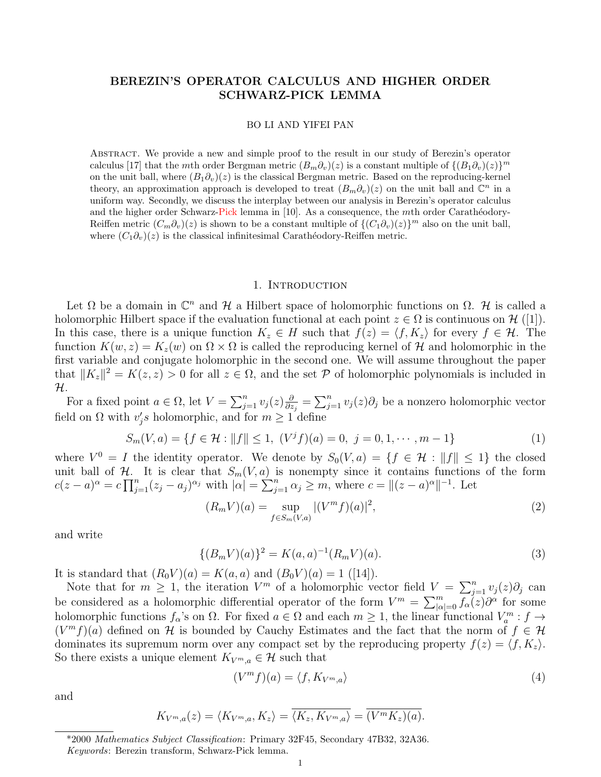# BEREZIN'S OPERATOR CALCULUS AND HIGHER ORDER SCHWARZ-PICK LEMMA

### BO LI AND YIFEI PAN

Abstract. We provide a new and simple proof to the result in our study of Berezin's operator calculus [17] that the mth order Bergman metric  $(B_m\partial_v)(z)$  is a constant multiple of  $\{(B_1\partial_v)(z)\}^m$ on the unit ball, where  $(B_1\partial_v)(z)$  is the classical Bergman metric. Based on the reproducing-kernel theory, an approximation approach is developed to treat  $(B_m \partial_v)(z)$  on the unit ball and  $\mathbb{C}^n$  in a uniform way. Secondly, we discuss the interplay between our analysis in Berezin's operator calculus and the higher order Schwarz-Pick lemma in  $[10]$ . As a consequence, the *mth* order Carathéodory-Reiffen metric  $(C_m \partial_v)(z)$  is shown to be a constant multiple of  $\{(C_1 \partial_v)(z)\}^m$  also on the unit ball, where  $(C_1\partial_v)(z)$  is the classical infinitesimal Carathéodory-Reiffen metric.

### 1. INTRODUCTION

Let  $\Omega$  be a domain in  $\mathbb{C}^n$  and  $\mathcal H$  a Hilbert space of holomorphic functions on  $\Omega$ . He is called a holomorphic Hilbert space if the evaluation functional at each point  $z \in \Omega$  is continuous on  $\mathcal{H}([1])$ . In this case, there is a unique function  $K_z \in H$  such that  $f(z) = \langle f, K_z \rangle$  for every  $f \in \mathcal{H}$ . The function  $K(w, z) = K_z(w)$  on  $\Omega \times \Omega$  is called the reproducing kernel of H and holomorphic in the first variable and conjugate holomorphic in the second one. We will assume throughout the paper that  $||K_z||^2 = K(z, z) > 0$  for all  $z \in \Omega$ , and the set P of holomorphic polynomials is included in H.

For a fixed point  $a \in \Omega$ , let  $V = \sum_{j=1}^n v_j(z) \frac{\partial}{\partial z}$  $\frac{\partial}{\partial z_j} = \sum_{j=1}^n v_j(z) \partial_j$  be a nonzero holomorphic vector field on  $\Omega$  with  $v_j$ 's holomorphic, and for  $m \geq 1$ <sup>'</sup> define

$$
S_m(V, a) = \{ f \in \mathcal{H} : ||f|| \le 1, (V^j f)(a) = 0, j = 0, 1, \cdots, m - 1 \}
$$
 (1)

where  $V^0 = I$  the identity operator. We denote by  $S_0(V, a) = \{f \in \mathcal{H} : ||f|| \leq 1\}$  the closed unit ball of H. It is clear that  $S_m(V, a)$  is nonempty since it contains functions of the form  $c(z-a)^{\alpha} = c \prod_{j=1}^{n} (z_j - a_j)^{\alpha_j}$  with  $|\alpha| = \sum_{j=1}^{n} \alpha_j \ge m$ , where  $c = ||(z-a)^{\alpha}||^{-1}$ . Let

$$
(R_m V)(a) = \sup_{f \in S_m(V,a)} |(V^m f)(a)|^2,
$$
\n(2)

and write

$$
\{(B_m V)(a)\}^2 = K(a, a)^{-1}(R_m V)(a). \tag{3}
$$

It is standard that  $(R_0V)(a) = K(a, a)$  and  $(B_0V)(a) = 1$  ([14]).

Note that for  $m \geq 1$ , the iteration  $V^m$  of a holomorphic vector field  $V = \sum_{j=1}^n v_j(z)\partial_j$  can be considered as a holomorphic differential operator of the form  $V^m = \sum_{|\alpha|=0}^m f_{\alpha}(z) \partial^{\alpha}$  for some holomorphic functions  $f_{\alpha}$ 's on  $\Omega$ . For fixed  $a \in \Omega$  and each  $m \geq 1$ , the linear functional  $V_a^m : f \to f$  $(V<sup>m</sup> f)(a)$  defined on H is bounded by Cauchy Estimates and the fact that the norm of  $f \in H$ dominates its supremum norm over any compact set by the reproducing property  $f(z) = \langle f, K_z \rangle$ . So there exists a unique element  $K_{V^m,a} \in \mathcal{H}$  such that

$$
(Vm f)(a) = \langle f, K_{Vm,a} \rangle
$$
\n(4)

and

$$
K_{V^m,a}(z) = \langle K_{V^m,a}, K_z \rangle = \overline{\langle K_z, K_{V^m,a} \rangle} = \overline{(V^m K_z)(a)}.
$$

<sup>\*2000</sup> Mathematics Subject Classification: Primary 32F45, Secondary 47B32, 32A36. Keywords: Berezin transform, Schwarz-Pick lemma.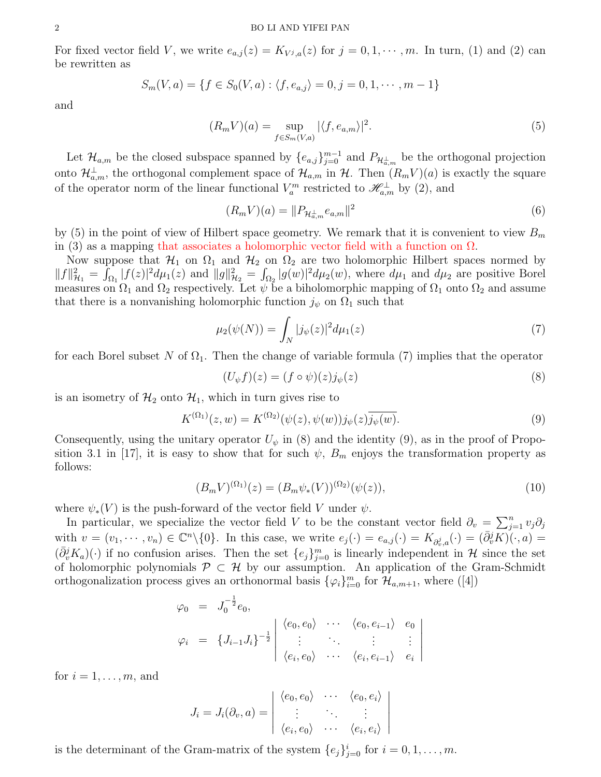#### 2 BO LI AND YIFEI PAN

For fixed vector field V, we write  $e_{a,j}(z) = K_{V^j, a}(z)$  for  $j = 0, 1, \dots, m$ . In turn, (1) and (2) can be rewritten as

$$
S_m(V, a) = \{ f \in S_0(V, a) : \langle f, e_{a,j} \rangle = 0, j = 0, 1, \cdots, m - 1 \}
$$

and

$$
(R_m V)(a) = \sup_{f \in S_m(V,a)} |\langle f, e_{a,m} \rangle|^2. \tag{5}
$$

Let  $\mathcal{H}_{a,m}$  be the closed subspace spanned by  $\{e_{a,j}\}_{j=0}^{m-1}$  and  $P_{\mathcal{H}_{a,m}^{\perp}}$  be the orthogonal projection onto  $\mathcal{H}_{a,m}^{\perp}$ , the orthogonal complement space of  $\mathcal{H}_{a,m}$  in  $\mathcal{H}$ . Then  $(R_m V)(a)$  is exactly the square of the operator norm of the linear functional  $V_a^m$  restricted to  $\mathscr{H}_{a,m}^{\perp}$  by (2), and

$$
(R_m V)(a) = ||P_{\mathcal{H}_{a,m}^{\perp}} e_{a,m}||^2
$$
\n(6)

by (5) in the point of view of Hilbert space geometry. We remark that it is convenient to view  $B_m$ in (3) as a mapping that associates a holomorphic vector field with a function on  $\Omega$ .

Now suppose that  $\mathcal{H}_1$  on  $\Omega_1$  and  $\mathcal{H}_2$  on  $\Omega_2$  are two holomorphic Hilbert spaces normed by  $||f||_{\mathcal{H}_1}^2 = \int_{\Omega_1} |f(z)|^2 d\mu_1(z)$  and  $||g||_{\mathcal{H}_2}^2 = \int_{\Omega_2} |g(w)|^2 d\mu_2(w)$ , where  $d\mu_1$  and  $d\mu_2$  are positive Borel measures on  $\Omega_1$  and  $\Omega_2$  respectively. Let  $\psi$  be a biholomorphic mapping of  $\Omega_1$  onto  $\Omega_2$  and assume that there is a nonvanishing holomorphic function  $j_{\psi}$  on  $\Omega_1$  such that

$$
\mu_2(\psi(N)) = \int_N |j_\psi(z)|^2 d\mu_1(z) \tag{7}
$$

for each Borel subset N of  $\Omega_1$ . Then the change of variable formula (7) implies that the operator

$$
(U_{\psi}f)(z) = (f \circ \psi)(z)j_{\psi}(z) \tag{8}
$$

is an isometry of  $\mathcal{H}_2$  onto  $\mathcal{H}_1$ , which in turn gives rise to

$$
K^{(\Omega_1)}(z,w) = K^{(\Omega_2)}(\psi(z), \psi(w))j_{\psi}(z)\overline{j_{\psi}(w)}.
$$
\n(9)

Consequently, using the unitary operator  $U_{\psi}$  in (8) and the identity (9), as in the proof of Proposition 3.1 in [17], it is easy to show that for such  $\psi$ ,  $B_m$  enjoys the transformation property as follows:

$$
(B_m V)^{(\Omega_1)}(z) = (B_m \psi_*(V))^{(\Omega_2)}(\psi(z)),\tag{10}
$$

where  $\psi_*(V)$  is the push-forward of the vector field V under  $\psi$ .

In particular, we specialize the vector field V to be the constant vector field  $\partial_v = \sum_{j=1}^n v_j \partial_j$ with  $v = (v_1, \dots, v_n) \in \mathbb{C}^n \setminus \{0\}$ . In this case, we write  $e_j(\cdot) = e_{a,j}(\cdot) = K_{\partial_v^j, a}(\cdot) = (\bar{\partial}_v^j K)(\cdot, a) =$  $(\bar{\partial}_{v}^{j}K_{a})(\cdot)$  if no confusion arises. Then the set  $\{e_{j}\}_{j=0}^{m}$  is linearly independent in H since the set of holomorphic polynomials  $P \subset \mathcal{H}$  by our assumption. An application of the Gram-Schmidt orthogonalization process gives an orthonormal basis  $\{\varphi_i\}_{i=0}^m$  for  $\mathcal{H}_{a,m+1}$ , where ([4])

$$
\varphi_0 = J_0^{-\frac{1}{2}} e_0,
$$
\n
$$
\varphi_i = \left\{ J_{i-1} J_i \right\}^{-\frac{1}{2}} \begin{vmatrix} \langle e_0, e_0 \rangle & \cdots & \langle e_0, e_{i-1} \rangle & e_0 \\ \vdots & \ddots & \vdots & \vdots \\ \langle e_i, e_0 \rangle & \cdots & \langle e_i, e_{i-1} \rangle & e_i \end{vmatrix}
$$

for  $i = 1, \ldots, m$ , and

$$
J_i = J_i(\partial_v, a) = \begin{vmatrix} \langle e_0, e_0 \rangle & \cdots & \langle e_0, e_i \rangle \\ \vdots & \ddots & \vdots \\ \langle e_i, e_0 \rangle & \cdots & \langle e_i, e_i \rangle \end{vmatrix}
$$

is the determinant of the Gram-matrix of the system  $\{e_j\}_{j=0}^i$  for  $i=0,1,\ldots,m$ .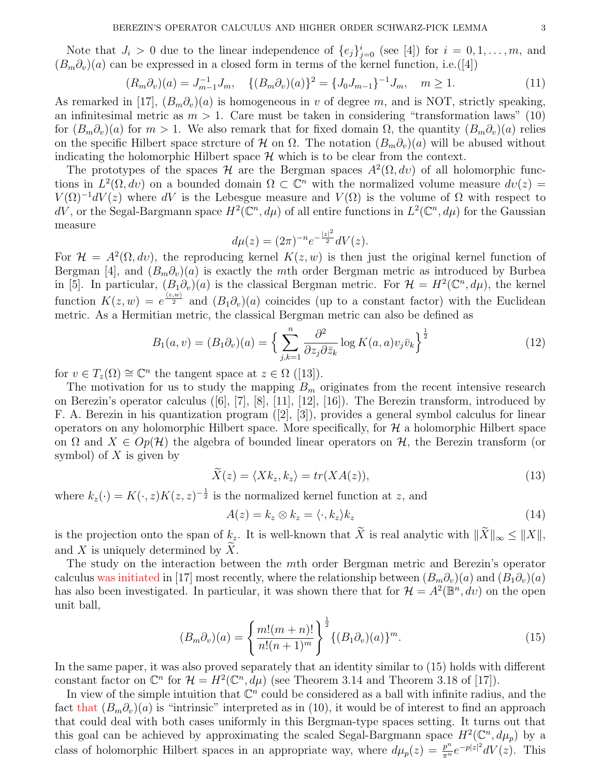Note that  $J_i > 0$  due to the linear independence of  $\{e_j\}_{j=0}^i$  (see [4]) for  $i = 0, 1, \ldots, m$ , and  $(B_m\partial_v)(a)$  can be expressed in a closed form in terms of the kernel function, i.e. ([4])

$$
(R_m \partial_v)(a) = J_{m-1}^{-1} J_m, \quad \{(B_m \partial_v)(a)\}^2 = \{J_0 J_{m-1}\}^{-1} J_m, \quad m \ge 1.
$$
 (11)

As remarked in [17],  $(B_m \partial_v)(a)$  is homogeneous in v of degree m, and is NOT, strictly speaking, an infinitesimal metric as  $m > 1$ . Care must be taken in considering "transformation laws" (10) for  $(B_m\partial_v)(a)$  for  $m>1$ . We also remark that for fixed domain  $\Omega$ , the quantity  $(B_m\partial_v)(a)$  relies on the specific Hilbert space strcture of H on  $\Omega$ . The notation  $(B_m\partial_v)(a)$  will be abused without indicating the holomorphic Hilbert space  $\mathcal H$  which is to be clear from the context.

The prototypes of the spaces H are the Bergman spaces  $A^2(\Omega, dv)$  of all holomorphic functions in  $L^2(\Omega, dv)$  on a bounded domain  $\Omega \subset \mathbb{C}^n$  with the normalized volume measure  $dv(z) =$  $V(\Omega)^{-1}dV(z)$  where dV is the Lebesgue measure and  $V(\Omega)$  is the volume of  $\Omega$  with respect to  $dV$ , or the Segal-Bargmann space  $H^2(\mathbb{C}^n, d\mu)$  of all entire functions in  $L^2(\mathbb{C}^n, d\mu)$  for the Gaussian measure

$$
d\mu(z) = (2\pi)^{-n} e^{-\frac{|z|^2}{2}} dV(z).
$$

For  $\mathcal{H} = A^2(\Omega, dv)$ , the reproducing kernel  $K(z, w)$  is then just the original kernel function of Bergman [4], and  $(B_m\partial_v)(a)$  is exactly the mth order Bergman metric as introduced by Burbea in [5]. In particular,  $(B_1\partial_v)(a)$  is the classical Bergman metric. For  $\mathcal{H} = H^2(\mathbb{C}^n, d\mu)$ , the kernel function  $K(z, w) = e^{\frac{\langle z, w \rangle}{2}}$  and  $(B_1 \partial_v)(a)$  coincides (up to a constant factor) with the Euclidean metric. As a Hermitian metric, the classical Bergman metric can also be defined as

$$
B_1(a,v) = (B_1\partial_v)(a) = \left\{ \sum_{j,k=1}^n \frac{\partial^2}{\partial z_j \partial \bar{z}_k} \log K(a,a)v_j \bar{v}_k \right\}^{\frac{1}{2}}
$$
(12)

for  $v \in T_z(\Omega) \cong \mathbb{C}^n$  the tangent space at  $z \in \Omega$  ([13]).

The motivation for us to study the mapping  $B_m$  originates from the recent intensive research on Berezin's operator calculus ([6], [7], [8], [11], [12], [16]). The Berezin transform, introduced by F. A. Berezin in his quantization program ([2], [3]), provides a general symbol calculus for linear operators on any holomorphic Hilbert space. More specifically, for  $\mathcal H$  a holomorphic Hilbert space on  $\Omega$  and  $X \in Op(H)$  the algebra of bounded linear operators on  $H$ , the Berezin transform (or symbol) of  $X$  is given by

$$
\tilde{X}(z) = \langle Xk_z, k_z \rangle = tr(XA(z)),\tag{13}
$$

where  $k_z(\cdot) = K(\cdot, z)K(z, z)^{-\frac{1}{2}}$  is the normalized kernel function at z, and

$$
A(z) = k_z \otimes k_z = \langle \cdot, k_z \rangle k_z \tag{14}
$$

is the projection onto the span of  $k_z$ . It is well-known that  $\widetilde{X}$  is real analytic with  $\|\widetilde{X}\|_{\infty} \leq \|X\|$ , and X is uniquely determined by  $\tilde{X}$ .

The study on the interaction between the mth order Bergman metric and Berezin's operator calculus was initiated in [17] most recently, where the relationship between  $(B_m\partial_v)(a)$  and  $(B_1\partial_v)(a)$ has also been investigated. In particular, it was shown there that for  $\mathcal{H} = A^2(\mathbb{B}^n, dv)$  on the open unit ball,

$$
(B_m \partial_v)(a) = \left\{ \frac{m!(m+n)!}{n!(n+1)^m} \right\}^{\frac{1}{2}} \{ (B_1 \partial_v)(a) \}^m.
$$
 (15)

In the same paper, it was also proved separately that an identity similar to (15) holds with different constant factor on  $\mathbb{C}^n$  for  $\mathcal{H} = H^2(\mathbb{C}^n, d\mu)$  (see Theorem 3.14 and Theorem 3.18 of [17]).

In view of the simple intuition that  $\mathbb{C}^n$  could be considered as a ball with infinite radius, and the fact that  $(B_m \partial_v)(a)$  is "intrinsic" interpreted as in (10), it would be of interest to find an approach that could deal with both cases uniformly in this Bergman-type spaces setting. It turns out that this goal can be achieved by approximating the scaled Segal-Bargmann space  $H^2(\mathbb{C}^n, d\mu_p)$  by a class of holomorphic Hilbert spaces in an appropriate way, where  $d\mu_p(z) = \frac{p^n}{\pi^n} e^{-p|z|^2} dV(z)$ . This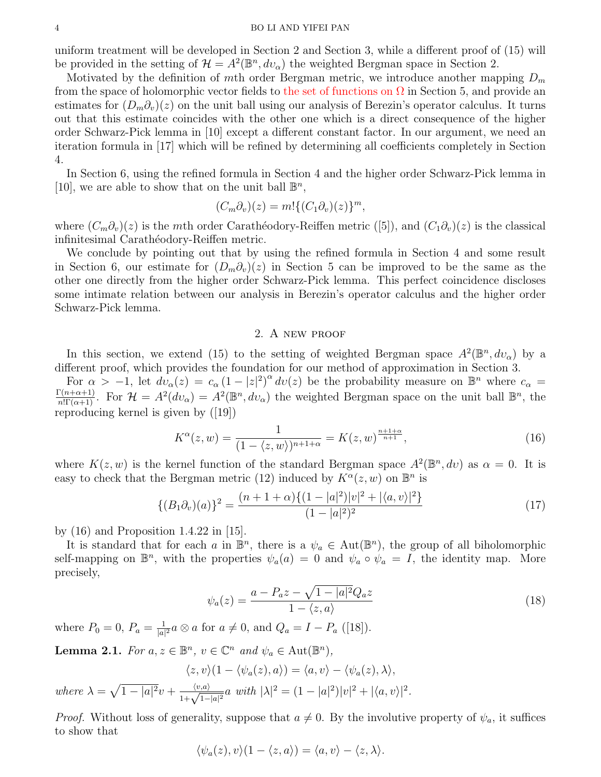#### 4 BO LI AND YIFEI PAN

uniform treatment will be developed in Section 2 and Section 3, while a different proof of (15) will be provided in the setting of  $\mathcal{H} = A^2(\mathbb{B}^n, dv_\alpha)$  the weighted Bergman space in Section 2.

Motivated by the definition of mth order Bergman metric, we introduce another mapping  $D_m$ from the space of holomorphic vector fields to the set of functions on  $\Omega$  in Section 5, and provide an estimates for  $(D_m\partial_v)(z)$  on the unit ball using our analysis of Berezin's operator calculus. It turns out that this estimate coincides with the other one which is a direct consequence of the higher order Schwarz-Pick lemma in [10] except a different constant factor. In our argument, we need an iteration formula in [17] which will be refined by determining all coefficients completely in Section 4.

In Section 6, using the refined formula in Section 4 and the higher order Schwarz-Pick lemma in [10], we are able to show that on the unit ball  $\mathbb{B}^n$ ,

$$
(C_m \partial_v)(z) = m! \{ (C_1 \partial_v)(z) \}^m,
$$

where  $(C_m\partial_v)(z)$  is the mth order Carathéodory-Reiffen metric ([5]), and  $(C_1\partial_v)(z)$  is the classical infinitesimal Carathéodory-Reiffen metric.

We conclude by pointing out that by using the refined formula in Section 4 and some result in Section 6, our estimate for  $(D_m\partial_v)(z)$  in Section 5 can be improved to be the same as the other one directly from the higher order Schwarz-Pick lemma. This perfect coincidence discloses some intimate relation between our analysis in Berezin's operator calculus and the higher order Schwarz-Pick lemma.

# 2. A new proof

In this section, we extend (15) to the setting of weighted Bergman space  $A^2(\mathbb{B}^n, dv_\alpha)$  by a different proof, which provides the foundation for our method of approximation in Section 3.

For  $\alpha > -1$ , let  $dv_{\alpha}(z) = c_{\alpha} (1-|z|^2)^{\alpha} dv(z)$  be the probability measure on  $\mathbb{B}^n$  where  $c_{\alpha} =$  $\frac{\Gamma(n+\alpha+1)}{n!\Gamma(\alpha+1)}$ . For  $\mathcal{H} = A^2(dv_\alpha) = A^2(\mathbb{B}^n, dv_\alpha)$  the weighted Bergman space on the unit ball  $\mathbb{B}^n$ , the reproducing kernel is given by ([19])

$$
K^{\alpha}(z, w) = \frac{1}{(1 - \langle z, w \rangle)^{n+1+\alpha}} = K(z, w)^{\frac{n+1+\alpha}{n+1}},
$$
\n(16)

where  $K(z, w)$  is the kernel function of the standard Bergman space  $A^2(\mathbb{B}^n, dv)$  as  $\alpha = 0$ . It is easy to check that the Bergman metric (12) induced by  $K^{\alpha}(z, w)$  on  $\mathbb{B}^{n}$  is

$$
\{(B_1\partial_v)(a)\}^2 = \frac{(n+1+\alpha)\{(1-|a|^2)|v|^2+|\langle a,v\rangle|^2\}}{(1-|a|^2)^2}
$$
\n(17)

by (16) and Proposition 1.4.22 in [15].

It is standard that for each a in  $\mathbb{B}^n$ , there is a  $\psi_a \in \text{Aut}(\mathbb{B}^n)$ , the group of all biholomorphic self-mapping on  $\mathbb{B}^n$ , with the properties  $\psi_a(a) = 0$  and  $\psi_a \circ \psi_a = I$ , the identity map. More precisely,

$$
\psi_a(z) = \frac{a - P_a z - \sqrt{1 - |a|^2} Q_a z}{1 - \langle z, a \rangle} \tag{18}
$$

where  $P_0 = 0, P_a = \frac{1}{|a|}$  $\frac{1}{|a|^2}a\otimes a$  for  $a\neq 0$ , and  $Q_a = I - P_a$  ([18]).

**Lemma 2.1.** For  $a, z \in \mathbb{B}^n$ ,  $v \in \mathbb{C}^n$  and  $\psi_a \in \text{Aut}(\mathbb{B}^n)$ ,

$$
\langle z, v \rangle (1 - \langle \psi_a(z), a \rangle) = \langle a, v \rangle - \langle \psi_a(z), \lambda \rangle,
$$
  
where  $\lambda = \sqrt{1 - |a|^2}v + \frac{\langle v, a \rangle}{1 + \sqrt{1 - |a|^2}} a$  with  $|\lambda|^2 = (1 - |a|^2)|v|^2 + |\langle a, v \rangle|^2$ .

*Proof.* Without loss of generality, suppose that  $a \neq 0$ . By the involutive property of  $\psi_a$ , it suffices to show that

$$
\langle \psi_a(z), v \rangle (1 - \langle z, a \rangle) = \langle a, v \rangle - \langle z, \lambda \rangle.
$$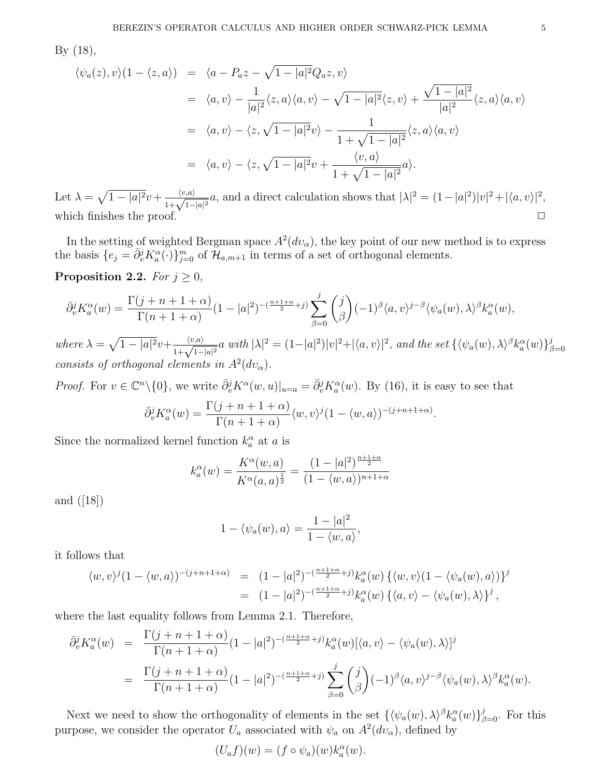By (18),

$$
\langle \psi_a(z), v \rangle (1 - \langle z, a \rangle) = \langle a - P_a z - \sqrt{1 - |a|^2} Q_a z, v \rangle
$$
  
\n
$$
= \langle a, v \rangle - \frac{1}{|a|^2} \langle z, a \rangle \langle a, v \rangle - \sqrt{1 - |a|^2} \langle z, v \rangle + \frac{\sqrt{1 - |a|^2}}{|a|^2} \langle z, a \rangle \langle a, v \rangle
$$
  
\n
$$
= \langle a, v \rangle - \langle z, \sqrt{1 - |a|^2} v \rangle - \frac{1}{1 + \sqrt{1 - |a|^2}} \langle z, a \rangle \langle a, v \rangle
$$
  
\n
$$
= \langle a, v \rangle - \langle z, \sqrt{1 - |a|^2} v + \frac{\langle v, a \rangle}{1 + \sqrt{1 - |a|^2}} a \rangle.
$$

Let  $\lambda = \sqrt{1 - |a|^2}v + \frac{\langle v, a \rangle}{1 + \sqrt{1 - |a|^2}} a$ , and a direct calculation shows that  $|\lambda|^2 = (1 - |a|^2)|v|^2 + |\langle a, v \rangle|^2$ , which finishes the proof.  $\Box$ 

In the setting of weighted Bergman space  $A^2(dv_\alpha)$ , the key point of our new method is to express the basis  $\{e_j = \overline{\partial}_v^j K_a^{\alpha}(\cdot)\}_{j=0}^m$  of  $\mathcal{H}_{a,m+1}$  in terms of a set of orthogonal elements.

# Proposition 2.2. For  $j \geq 0$ ,

$$
\bar{\partial}^j_v K^\alpha_a(w) = \frac{\Gamma(j+n+1+\alpha)}{\Gamma(n+1+\alpha)} (1-|a|^2)^{-(\frac{n+1+\alpha}{2}+j)} \sum_{\beta=0}^j \binom{j}{\beta} (-1)^{\beta} \langle a, v \rangle^{j-\beta} \langle \psi_a(w), \lambda \rangle^{\beta} k^\alpha_a(w),
$$

where  $\lambda = \sqrt{1 - |a|^2}v + \frac{\langle v, a \rangle}{1 + \sqrt{1 - |a|^2}} a$  with  $|\lambda|^2 = (1 - |a|^2)|v|^2 + |\langle a, v \rangle|^2$ , and the set  $\{\langle \psi_a(w), \lambda \rangle^{\beta} k_a^{\alpha}(w)\}_{\beta=1}^{\beta=1}$  $\beta = 0$ consists of orthogonal elements in  $A^2(dv_\alpha)$ .

*Proof.* For  $v \in \mathbb{C}^n \setminus \{0\}$ , we write  $\bar{\partial}_v^j K^{\alpha}(w, u)|_{u=a} = \bar{\partial}_v^j K^{\alpha}(w)$ . By (16), it is easy to see that

$$
\bar{\partial}_v^j K_a^{\alpha}(w) = \frac{\Gamma(j+n+1+\alpha)}{\Gamma(n+1+\alpha)} \langle w, v \rangle^j (1-\langle w, a \rangle)^{-(j+n+1+\alpha)}.
$$

Since the normalized kernel function  $k_a^{\alpha}$  at a is

$$
k_a^{\alpha}(w) = \frac{K^{\alpha}(w, a)}{K^{\alpha}(a, a)^{\frac{1}{2}}} = \frac{(1 - |a|^2)^{\frac{n+1+\alpha}{2}}}{(1 - \langle w, a \rangle)^{n+1+\alpha}}
$$

and ([18])

$$
1 - \langle \psi_a(w), a \rangle = \frac{1 - |a|^2}{1 - \langle w, a \rangle},
$$

it follows that

$$
\langle w, v \rangle^{j} (1 - \langle w, a \rangle)^{-(j+n+1+\alpha)} = (1 - |a|^2)^{-(\frac{n+1+\alpha}{2} + j)} k_a^{\alpha}(w) \left\{ \langle w, v \rangle (1 - \langle \psi_a(w), a \rangle) \right\}^{j}
$$
  
= 
$$
(1 - |a|^2)^{-(\frac{n+1+\alpha}{2} + j)} k_a^{\alpha}(w) \left\{ \langle a, v \rangle - \langle \psi_a(w), \lambda \rangle \right\}^{j},
$$

where the last equality follows from Lemma 2.1. Therefore,

$$
\bar{\partial}_{v}^{j} K_{a}^{\alpha}(w) = \frac{\Gamma(j+n+1+\alpha)}{\Gamma(n+1+\alpha)} (1-|a|^{2})^{-(\frac{n+1+\alpha}{2}+j)} k_{a}^{\alpha}(w) [\langle a, v \rangle - \langle \psi_{a}(w), \lambda \rangle]^{j}
$$
  

$$
= \frac{\Gamma(j+n+1+\alpha)}{\Gamma(n+1+\alpha)} (1-|a|^{2})^{-(\frac{n+1+\alpha}{2}+j)} \sum_{\beta=0}^{j} {j \choose \beta} (-1)^{\beta} \langle a, v \rangle^{j-\beta} \langle \psi_{a}(w), \lambda \rangle^{\beta} k_{a}^{\alpha}(w).
$$

Next we need to show the orthogonality of elements in the set  $\{\langle \psi_a(w), \lambda \rangle^{\beta} k_a^{\alpha}(w)\}_{\beta=0}^j$ . For this purpose, we consider the operator  $U_a$  associated with  $\psi_a$  on  $A^2(dv_\alpha)$ , defined by

$$
(U_a f)(w) = (f \circ \psi_a)(w) k_a^{\alpha}(w).
$$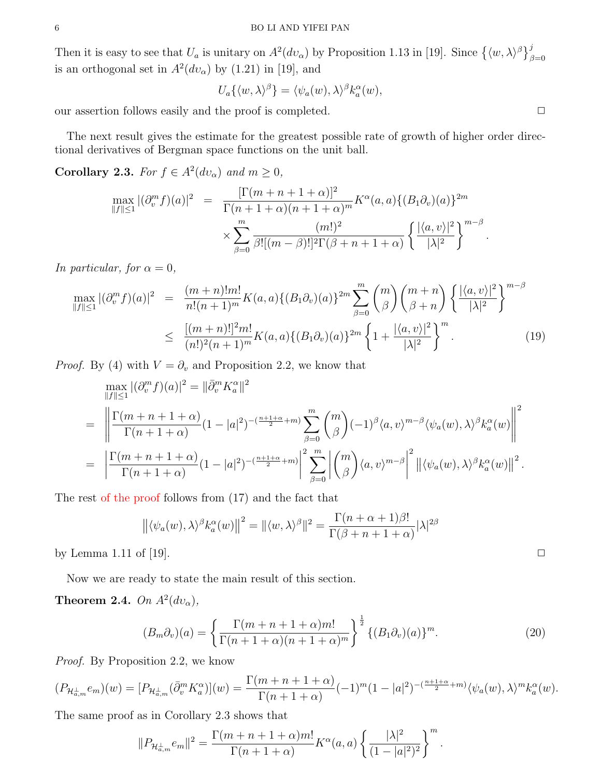Then it is easy to see that  $U_a$  is unitary on  $A^2(dv_\alpha)$  by Proposition 1.13 in [19]. Since  $\{(\langle w, \lambda \rangle^\beta\}_{\beta=0}^j$ is an orthogonal set in  $A^2(dv_\alpha)$  by (1.21) in [19], and

$$
U_a\{\langle w,\lambda\rangle^{\beta}\}=\langle\psi_a(w),\lambda\rangle^{\beta}k_a^{\alpha}(w),
$$

our assertion follows easily and the proof is completed.  $\Box$ 

The next result gives the estimate for the greatest possible rate of growth of higher order directional derivatives of Bergman space functions on the unit ball.

**Corollary 2.3.** For  $f \in A^2(dv_\alpha)$  and  $m \geq 0$ ,

$$
\max_{\|f\| \le 1} |(\partial_v^m f)(a)|^2 = \frac{[\Gamma(m+n+1+\alpha)]^2}{\Gamma(n+1+\alpha)(n+1+\alpha)^m} K^{\alpha}(a, a) \{ (B_1 \partial_v)(a) \}^{2m}
$$

$$
\times \sum_{\beta=0}^m \frac{(m!)^2}{\beta![(m-\beta)!]^2 \Gamma(\beta+n+1+\alpha)} \left\{ \frac{|\langle a, v \rangle|^2}{|\lambda|^2} \right\}^{m-\beta}.
$$

In particular, for  $\alpha = 0$ ,

$$
\max_{\|f\| \le 1} |(\partial_v^m f)(a)|^2 = \frac{(m+n)!m!}{n!(n+1)^m} K(a,a) \{ (B_1 \partial_v)(a) \}^{2m} \sum_{\beta=0}^m {m \choose \beta} {m+n \choose \beta+n} \left\{ \frac{|\langle a,v \rangle|^2}{|\lambda|^2} \right\}^{m-\beta}
$$
  

$$
\le \frac{[(m+n)!]^2 m!}{(n!)^2 (n+1)^m} K(a,a) \{ (B_1 \partial_v)(a) \}^{2m} \left\{ 1 + \frac{|\langle a,v \rangle|^2}{|\lambda|^2} \right\}^m.
$$
 (19)

*Proof.* By (4) with  $V = \partial_v$  and Proposition 2.2, we know that

$$
\max_{\|f\| \le 1} |(\partial_v^m f)(a)|^2 = \|\bar{\partial}_v^m K_a^{\alpha}\|^2
$$
\n
$$
= \left\| \frac{\Gamma(m+n+1+\alpha)}{\Gamma(n+1+\alpha)} (1-|a|^2)^{-(\frac{n+1+\alpha}{2}+m)} \sum_{\beta=0}^m \binom{m}{\beta} (-1)^{\beta} \langle a, v \rangle^{m-\beta} \langle \psi_a(w), \lambda \rangle^{\beta} k_a^{\alpha}(w) \right\|^2
$$
\n
$$
= \left\| \frac{\Gamma(m+n+1+\alpha)}{\Gamma(n+1+\alpha)} (1-|a|^2)^{-(\frac{n+1+\alpha}{2}+m)} \right\|^2 \sum_{\beta=0}^m \left| \binom{m}{\beta} \langle a, v \rangle^{m-\beta} \right|^2 \left\| \langle \psi_a(w), \lambda \rangle^{\beta} k_a^{\alpha}(w) \right\|^2.
$$

The rest of the proof follows from (17) and the fact that

$$
\left\| \langle \psi_a(w), \lambda \rangle^{\beta} k_a^{\alpha}(w) \right\|^2 = \left\| \langle w, \lambda \rangle^{\beta} \right\|^2 = \frac{\Gamma(n + \alpha + 1)\beta!}{\Gamma(\beta + n + 1 + \alpha)} |\lambda|^{2\beta}
$$

by Lemma 1.11 of [19].  $\Box$ 

Now we are ready to state the main result of this section.

Theorem 2.4. On  $A^2(dv_\alpha)$ ,

$$
(B_m\partial_v)(a) = \left\{\frac{\Gamma(m+n+1+\alpha)m!}{\Gamma(n+1+\alpha)(n+1+\alpha)^m}\right\}^{\frac{1}{2}} \{(B_1\partial_v)(a)\}^m.
$$
 (20)

Proof. By Proposition 2.2, we know

$$
(P_{\mathcal{H}_{a,m}^{\perp}}e_m)(w) = [P_{\mathcal{H}_{a,m}^{\perp}}(\bar{\partial}_v^m K_a^{\alpha})](w) = \frac{\Gamma(m+n+1+\alpha)}{\Gamma(n+1+\alpha)}(-1)^m(1-|a|^2)^{-(\frac{n+1+\alpha}{2}+m)}\langle \psi_a(w), \lambda \rangle^m k_a^{\alpha}(w).
$$

The same proof as in Corollary 2.3 shows that

$$
||P_{\mathcal{H}_{a,m}^{\perp}}e_m||^2=\frac{\Gamma(m+n+1+\alpha)m!}{\Gamma(n+1+\alpha)}K^{\alpha}(a,a)\left\{\frac{|\lambda|^2}{(1-|a|^2)^2}\right\}^m.
$$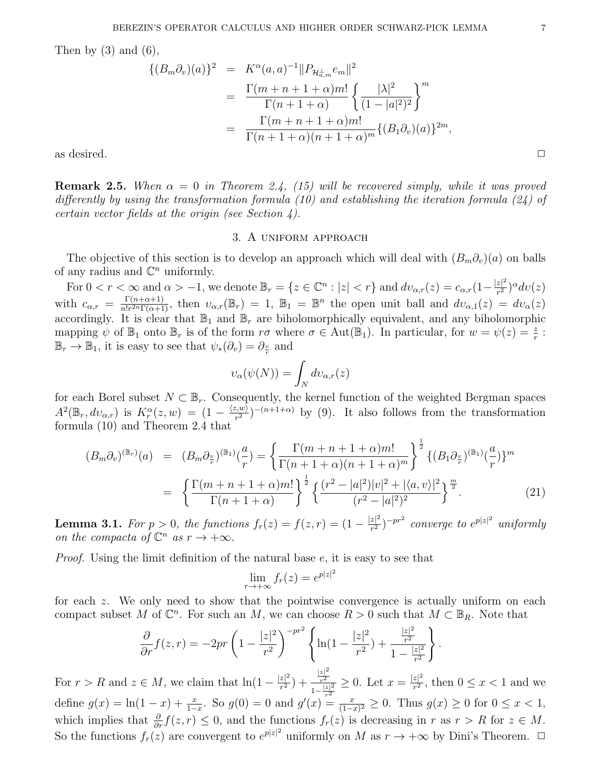Then by  $(3)$  and  $(6)$ ,

$$
\{(B_m \partial_v)(a)\}^2 = K^{\alpha}(a, a)^{-1} ||P_{\mathcal{H}_{a,m}^{\perp}} e_m||^2
$$
  
= 
$$
\frac{\Gamma(m+n+1+\alpha)m!}{\Gamma(n+1+\alpha)} \left\{ \frac{|\lambda|^2}{(1-|a|^2)^2} \right\}^m
$$
  
= 
$$
\frac{\Gamma(m+n+1+\alpha)m!}{\Gamma(n+1+\alpha)(n+1+\alpha)^m} \{(B_1 \partial_v)(a)\}^{2m},
$$
  
as desired.

**Remark 2.5.** When  $\alpha = 0$  in Theorem 2.4, (15) will be recovered simply, while it was proved differently by using the transformation formula (10) and establishing the iteration formula (24) of certain vector fields at the origin (see Section 4).

### 3. A uniform approach

The objective of this section is to develop an approach which will deal with  $(B_m\partial_v)(a)$  on balls of any radius and  $\mathbb{C}^n$  uniformly.

For  $0 < r < \infty$  and  $\alpha > -1$ , we denote  $\mathbb{B}_r = \{z \in \mathbb{C}^n : |z| < r\}$  and  $d\upsilon_{\alpha,r}(z) = c_{\alpha,r}(1-\frac{|z|^2}{r^2})$  $rac{z|^2}{r^2}$ <sup>o</sup> $dv(z)$ with  $c_{\alpha,r} = \frac{\Gamma(n+\alpha+1)}{n!r^{2n}\Gamma(\alpha+1)}$  $\frac{\Gamma(n+\alpha+1)}{n!r^{2n}\Gamma(\alpha+1)}$ , then  $v_{\alpha,r}(\mathbb{B}_r) = 1$ ,  $\mathbb{B}_1 = \mathbb{B}^n$  the open unit ball and  $dv_{\alpha,1}(z) = dv_{\alpha}(z)$ accordingly. It is clear that  $\mathbb{B}_1$  and  $\mathbb{B}_r$  are biholomorphically equivalent, and any biholomorphic mapping  $\psi$  of  $\mathbb{B}_1$  onto  $\mathbb{B}_r$  is of the form  $r\sigma$  where  $\sigma \in \text{Aut}(\mathbb{B}_1)$ . In particular, for  $w = \psi(z) = \frac{z}{r}$ :  $\mathbb{B}_r \to \mathbb{B}_1$ , it is easy to see that  $\psi_*(\partial_v) = \partial_{\frac{v}{r}}$  and

$$
v_{\alpha}(\psi(N)) = \int_{N} dv_{\alpha,r}(z)
$$

for each Borel subset  $N \subset \mathbb{B}_r$ . Consequently, the kernel function of the weighted Bergman spaces  $A^2(\mathbb{B}_r, dv_{\alpha,r})$  is  $K_r^{\alpha}(z,w) = (1 - \frac{\langle z,w \rangle}{r^2})$  $(\frac{z,w}{r^2})^{-(n+1+\alpha)}$  by (9). It also follows from the transformation formula (10) and Theorem 2.4 that

$$
(B_m \partial_v)^{(\mathbb{B}_r)}(a) = (B_m \partial_{\frac{v}{r}})^{(\mathbb{B}_1)}(\frac{a}{r}) = \left\{ \frac{\Gamma(m+n+1+\alpha)m!}{\Gamma(n+1+\alpha)(n+1+\alpha)^m} \right\}^{\frac{1}{2}} \{ (B_1 \partial_{\frac{v}{r}})^{(\mathbb{B}_1)}(\frac{a}{r}) \}^m
$$
  

$$
= \left\{ \frac{\Gamma(m+n+1+\alpha)m!}{\Gamma(n+1+\alpha)} \right\}^{\frac{1}{2}} \left\{ \frac{(r^2-|a|^2)|v|^2+|\langle a,v\rangle|^2}{(r^2-|a|^2)^2} \right\}^{\frac{m}{2}}.
$$
 (21)

**Lemma 3.1.** For  $p > 0$ , the functions  $f_r(z) = f(z, r) = (1 - \frac{|z|^2}{r^2})$  $\frac{z|^2}{r^2})^{-pr^2}$  converge to  $e^{p|z|^2}$  uniformly on the compacta of  $\mathbb{C}^n$  as  $r \to +\infty$ .

*Proof.* Using the limit definition of the natural base  $e$ , it is easy to see that

$$
\lim_{r \to +\infty} f_r(z) = e^{p|z|^2}
$$

for each z. We only need to show that the pointwise convergence is actually uniform on each compact subset M of  $\mathbb{C}^n$ . For such an M, we can choose  $R > 0$  such that  $M \subset \mathbb{B}_R$ . Note that

$$
\frac{\partial}{\partial r}f(z,r) = -2pr\left(1 - \frac{|z|^2}{r^2}\right)^{-pr^2} \left\{ \ln(1 - \frac{|z|^2}{r^2}) + \frac{\frac{|z|^2}{r^2}}{1 - \frac{|z|^2}{r^2}} \right\}.
$$

For  $r > R$  and  $z \in M$ , we claim that  $\ln(1 - \frac{|z|^2}{r^2})$  $\frac{|z|^2}{r^2}$  +  $\frac{\frac{|z|^2}{r^2}}{1-\frac{|z|^2}{r^2}}$  $r^2$  $\frac{\frac{|z|^2}{r^2}}{1-\frac{|z|^2}{2}} \geq 0$ . Let  $x = \frac{|z|^2}{r^2}$ define  $g(x) = \ln(1-x) + \frac{x}{1-x}$ . So  $g(0) = 0$  and  $g'(x) = \frac{x}{(1-x)^2} \ge 0$ . Thus  $g(x) \ge 0$  for  $0 \le x < 1$ ,  $\frac{z_1}{r^2}$ , then  $0 \leq x < 1$  and we which implies that  $\frac{\partial}{\partial r} f(z,r) \leq 0$ , and the functions  $f_r(z)$  is decreasing in r as  $r > R$  for  $z \in M$ . So the functions  $f_r(z)$  are convergent to  $e^{p|z|^2}$  uniformly on M as  $r \to +\infty$  by Dini's Theorem.  $\Box$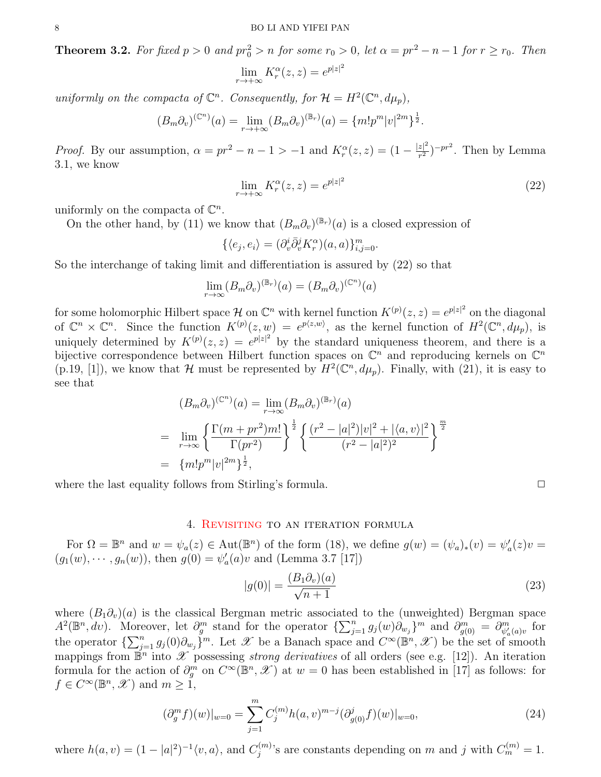**Theorem 3.2.** For fixed  $p > 0$  and  $pr_0^2 > n$  for some  $r_0 > 0$ , let  $\alpha = pr^2 - n - 1$  for  $r \ge r_0$ . Then

$$
\lim_{r \to +\infty} K_r^{\alpha}(z, z) = e^{p|z|^2}
$$

uniformly on the compacta of  $\mathbb{C}^n$ . Consequently, for  $\mathcal{H} = H^2(\mathbb{C}^n, d\mu_p)$ ,

$$
(B_m \partial_v)^{(\mathbb{C}^n)}(a) = \lim_{r \to +\infty} (B_m \partial_v)^{(\mathbb{B}_r)}(a) = \{m!p^m|v|^{2m}\}^{\frac{1}{2}}.
$$

*Proof.* By our assumption,  $\alpha = pr^2 - n - 1 > -1$  and  $K_r^{\alpha}(z, z) = (1 - \frac{|z|^2}{r^2})$  $\frac{z|^2}{r^2}$ )<sup>-pr<sup>2</sup>. Then by Lemma</sup> 3.1, we know

$$
\lim_{r \to +\infty} K_r^{\alpha}(z, z) = e^{p|z|^2} \tag{22}
$$

uniformly on the compacta of  $\mathbb{C}^n$ .

On the other hand, by (11) we know that  $(B_m \partial_v)^{(\mathbb{B}_r)}(a)$  is a closed expression of

$$
\{\langle e_j, e_i \rangle = (\partial_v^i \bar{\partial}_v^j K_r^{\alpha})(a, a) \}_{i, j = 0}^m.
$$

So the interchange of taking limit and differentiation is assured by (22) so that

$$
\lim_{r \to \infty} (B_m \partial_v)^{(\mathbb{B}_r)}(a) = (B_m \partial_v)^{(\mathbb{C}^n)}(a)
$$

for some holomorphic Hilbert space H on  $\mathbb{C}^n$  with kernel function  $K^{(p)}(z, z) = e^{p|z|^2}$  on the diagonal of  $\mathbb{C}^n \times \mathbb{C}^n$ . Since the function  $K^{(p)}(z,w) = e^{p\langle z,w\rangle}$ , as the kernel function of  $H^2(\mathbb{C}^n, d\mu_p)$ , is uniquely determined by  $K^{(p)}(z, z) = e^{p|z|^2}$  by the standard uniqueness theorem, and there is a bijective correspondence between Hilbert function spaces on  $\mathbb{C}^n$  and reproducing kernels on  $\mathbb{C}^n$  $(p.19, [1])$ , we know that H must be represented by  $H^2(\mathbb{C}^n, d\mu_p)$ . Finally, with  $(21)$ , it is easy to see that

$$
(B_m \partial_v)^{(\mathbb{C}^n)}(a) = \lim_{r \to \infty} (B_m \partial_v)^{(\mathbb{B}_r)}(a)
$$
  
= 
$$
\lim_{r \to \infty} \left\{ \frac{\Gamma(m + pr^2)m!}{\Gamma(pr^2)} \right\}^{\frac{1}{2}} \left\{ \frac{(r^2 - |a|^2)|v|^2 + |\langle a, v \rangle|^2}{(r^2 - |a|^2)^2} \right\}^{\frac{m}{2}}
$$
  
= 
$$
\{m!p^m|v|^{2m}\}^{\frac{1}{2}},
$$

where the last equality follows from Stirling's formula.  $\Box$ 

# 4. Revisiting to an iteration formula

For  $\Omega = \mathbb{B}^n$  and  $w = \psi_a(z) \in \text{Aut}(\mathbb{B}^n)$  of the form (18), we define  $g(w) = (\psi_a)_*(v) = \psi'_a(z)v =$  $(g_1(w), \dots, g_n(w))$ , then  $g(0) = \psi'_a(a)v$  and (Lemma 3.7 [17])

$$
|g(0)| = \frac{(B_1 \partial_v)(a)}{\sqrt{n+1}}\tag{23}
$$

where  $(B_1\partial_v)(a)$  is the classical Bergman metric associated to the (unweighted) Bergman space  $A^2(\mathbb{B}^n, dv)$ . Moreover, let  $\partial_g^m$  stand for the operator  $\{\sum_{j=1}^n g_j(w)\partial_{w_j}\}^m$  and  $\partial_{g(0)}^m = \partial_{\psi'_a(a)v}^m$  for the operator  $\{\sum_{j=1}^n g_j(0)\partial_{w_j}\}^m$ . Let X be a Banach space and  $C^{\infty}(\mathbb{B}^n, \mathcal{X})$  be the set of smooth mappings from  $\mathbb{B}^n$  into  $\mathscr X$  possessing *strong derivatives* of all orders (see e.g. [12]). An iteration formula for the action of  $\partial_g^m$  on  $C^{\infty}(\mathbb{B}^n, \mathscr{X})$  at  $w = 0$  has been established in [17] as follows: for  $f \in C^{\infty}(\mathbb{B}^n, \mathcal{X})$  and  $m \geq 1$ ,

$$
(\partial_g^m f)(w)|_{w=0} = \sum_{j=1}^m C_j^{(m)} h(a, v)^{m-j} (\partial_{g(0)}^j f)(w)|_{w=0}, \tag{24}
$$

where  $h(a, v) = (1 - |a|^2)^{-1} \langle v, a \rangle$ , and  $C_i^{(m)}$  $j^{(m)}$ 's are constants depending on m and j with  $C_m^{(m)} = 1$ .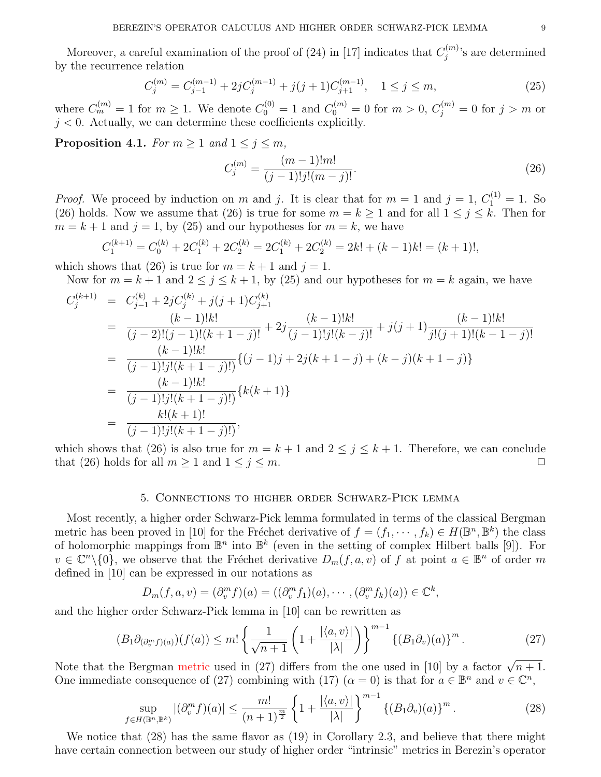Moreover, a careful examination of the proof of (24) in [17] indicates that  $C_i^{(m)}$  $j^{(m)}$ 's are determined by the recurrence relation

$$
C_j^{(m)} = C_{j-1}^{(m-1)} + 2jC_j^{(m-1)} + j(j+1)C_{j+1}^{(m-1)}, \quad 1 \le j \le m,
$$
\n(25)

where  $C_m^{(m)} = 1$  for  $m \ge 1$ . We denote  $C_0^{(0)} = 1$  and  $C_0^{(m)} = 0$  for  $m > 0$ ,  $C_j^{(m)} = 0$  for  $j > m$  or  $j < 0$ . Actually, we can determine these coefficients explicitly.

**Proposition 4.1.** For  $m \geq 1$  and  $1 \leq j \leq m$ ,

$$
C_j^{(m)} = \frac{(m-1)!m!}{(j-1)!j!(m-j)!}.
$$
\n(26)

*Proof.* We proceed by induction on m and j. It is clear that for  $m = 1$  and  $j = 1$ ,  $C_1^{(1)} = 1$ . So (26) holds. Now we assume that (26) is true for some  $m = k \ge 1$  and for all  $1 \le j \le k$ . Then for  $m = k + 1$  and  $j = 1$ , by (25) and our hypotheses for  $m = k$ , we have

$$
C_1^{(k+1)} = C_0^{(k)} + 2C_1^{(k)} + 2C_2^{(k)} = 2C_1^{(k)} + 2C_2^{(k)} = 2k! + (k-1)k! = (k+1)!,
$$

which shows that (26) is true for  $m = k + 1$  and  $j = 1$ .

Now for  $m = k + 1$  and  $2 \le j \le k + 1$ , by (25) and our hypotheses for  $m = k$  again, we have

$$
C_j^{(k+1)} = C_{j-1}^{(k)} + 2jC_j^{(k)} + j(j+1)C_{j+1}^{(k)}
$$
  
\n
$$
= \frac{(k-1)!k!}{(j-2)!(j-1)!(k+1-j)!} + 2j\frac{(k-1)!k!}{(j-1)!j!(k-j)!} + j(j+1)\frac{(k-1)!k!}{j!(j+1)!(k-1-j)!}
$$
  
\n
$$
= \frac{(k-1)!k!}{(j-1)!j!(k+1-j)!} \{(j-1)j+2j(k+1-j)+(k-j)(k+1-j)\}
$$
  
\n
$$
= \frac{(k-1)!k!}{(j-1)!j!(k+1-j)!} \{k(k+1)\}
$$
  
\n
$$
= \frac{k!(k+1)!}{(j-1)!j!(k+1-j)!},
$$

which shows that (26) is also true for  $m = k + 1$  and  $2 \le j \le k + 1$ . Therefore, we can conclude that (26) holds for all  $m \ge 1$  and  $1 \le j \le m$ .

### 5. Connections to higher order Schwarz-Pick lemma

Most recently, a higher order Schwarz-Pick lemma formulated in terms of the classical Bergman metric has been proved in [10] for the Fréchet derivative of  $f = (f_1, \dots, f_k) \in H(\mathbb{B}^n, \mathbb{B}^k)$  the class of holomorphic mappings from  $\mathbb{B}^n$  into  $\mathbb{B}^k$  (even in the setting of complex Hilbert balls [9]). For  $v \in \mathbb{C}^n \setminus \{0\}$ , we observe that the Fréchet derivative  $D_m(f, a, v)$  of f at point  $a \in \mathbb{B}^n$  of order m defined in [10] can be expressed in our notations as

$$
D_m(f, a, v) = (\partial_v^m f)(a) = ((\partial_v^m f_1)(a), \cdots, (\partial_v^m f_k)(a)) \in \mathbb{C}^k,
$$

and the higher order Schwarz-Pick lemma in [10] can be rewritten as

$$
(B_1 \partial_{(\partial_v^m f)(a)})(f(a)) \le m! \left\{ \frac{1}{\sqrt{n+1}} \left( 1 + \frac{|\langle a, v \rangle|}{|\lambda|} \right) \right\}^{m-1} \left\{ (B_1 \partial_v)(a) \right\}^m. \tag{27}
$$

Note that the Bergman metric used in (27) differs from the one used in [10] by a factor  $\sqrt{n+1}$ . One immediate consequence of (27) combining with (17)  $(\alpha = 0)$  is that for  $a \in \mathbb{B}^n$  and  $v \in \mathbb{C}^n$ ,

$$
\sup_{f\in H(\mathbb{B}^n,\mathbb{B}^k)} |(\partial_v^m f)(a)| \le \frac{m!}{(n+1)^{\frac{m}{2}}} \left\{ 1 + \frac{|\langle a,v\rangle|}{|\lambda|} \right\}^{m-1} \left\{ (B_1 \partial_v)(a) \right\}^m. \tag{28}
$$

We notice that (28) has the same flavor as (19) in Corollary 2.3, and believe that there might have certain connection between our study of higher order "intrinsic" metrics in Berezin's operator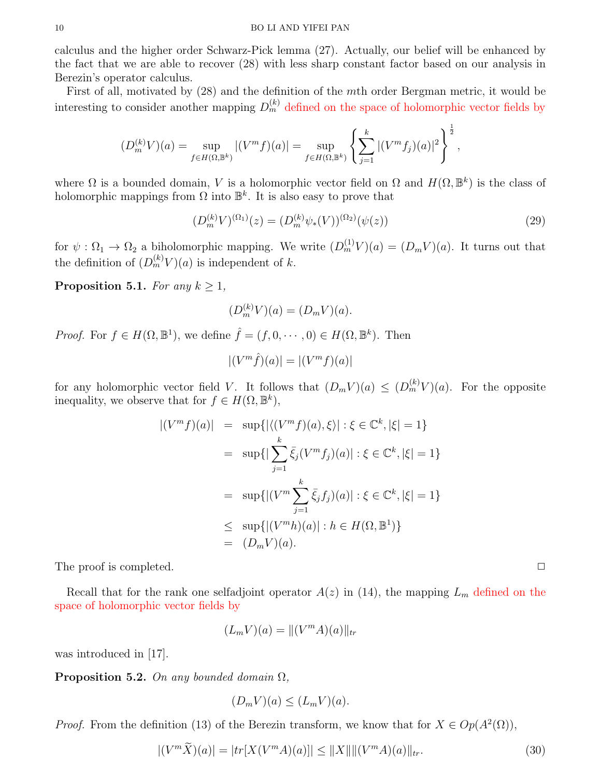calculus and the higher order Schwarz-Pick lemma (27). Actually, our belief will be enhanced by the fact that we are able to recover (28) with less sharp constant factor based on our analysis in Berezin's operator calculus.

First of all, motivated by (28) and the definition of the mth order Bergman metric, it would be interesting to consider another mapping  $D_m^{(k)}$  defined on the space of holomorphic vector fields by

$$
(D_m^{(k)}V)(a) = \sup_{f \in H(\Omega, \mathbb{B}^k)} |(V^m f)(a)| = \sup_{f \in H(\Omega, \mathbb{B}^k)} \left\{ \sum_{j=1}^k |(V^m f_j)(a)|^2 \right\}^{\frac{1}{2}},
$$

where  $\Omega$  is a bounded domain, V is a holomorphic vector field on  $\Omega$  and  $H(\Omega, \mathbb{B}^k)$  is the class of holomorphic mappings from  $\Omega$  into  $\mathbb{B}^k$ . It is also easy to prove that

$$
(D_m^{(k)}V)^{(\Omega_1)}(z) = (D_m^{(k)}\psi_*(V))^{(\Omega_2)}(\psi(z))
$$
\n(29)

for  $\psi : \Omega_1 \to \Omega_2$  a biholomorphic mapping. We write  $(D_m^{(1)}V)(a) = (D_mV)(a)$ . It turns out that the definition of  $(D_m^{(k)}V)(a)$  is independent of k.

Proposition 5.1. For any  $k \geq 1$ ,

$$
(D_m^{(k)}V)(a) = (D_mV)(a).
$$

*Proof.* For  $f \in H(\Omega, \mathbb{B}^1)$ , we define  $\hat{f} = (f, 0, \dots, 0) \in H(\Omega, \mathbb{B}^k)$ . Then

$$
|(V^m\hat{f})(a)| = |(V^m f)(a)|
$$

for any holomorphic vector field V. It follows that  $(D_m V)(a) \leq (D_m^{(k)} V)(a)$ . For the opposite inequality, we observe that for  $f \in H(\Omega, \mathbb{B}^k)$ ,

$$
|(V^m f)(a)| = \sup \{ |\langle (V^m f)(a), \xi \rangle| : \xi \in \mathbb{C}^k, |\xi| = 1 \}
$$
  

$$
= \sup \{ |\sum_{j=1}^k \bar{\xi}_j (V^m f_j)(a)| : \xi \in \mathbb{C}^k, |\xi| = 1 \}
$$
  

$$
= \sup \{ |(V^m \sum_{j=1}^k \bar{\xi}_j f_j)(a)| : \xi \in \mathbb{C}^k, |\xi| = 1 \}
$$
  

$$
\leq \sup \{ |(V^m h)(a)| : h \in H(\Omega, \mathbb{B}^1) \}
$$
  

$$
= (D_m V)(a).
$$

The proof is completed.  $\Box$ 

Recall that for the rank one selfadjoint operator  $A(z)$  in (14), the mapping  $L_m$  defined on the space of holomorphic vector fields by

$$
(L_m V)(a) = ||(V^m A)(a)||_{tr}
$$

was introduced in [17].

**Proposition 5.2.** On any bounded domain  $\Omega$ ,

$$
(D_m V)(a) \le (L_m V)(a).
$$

*Proof.* From the definition (13) of the Berezin transform, we know that for  $X \in Op(A^2(\Omega))$ ,

$$
|(V^m\widetilde{X})(a)| = |tr[X(V^mA)(a)]| \le ||X|| ||(V^mA)(a)||_{tr}.
$$
\n(30)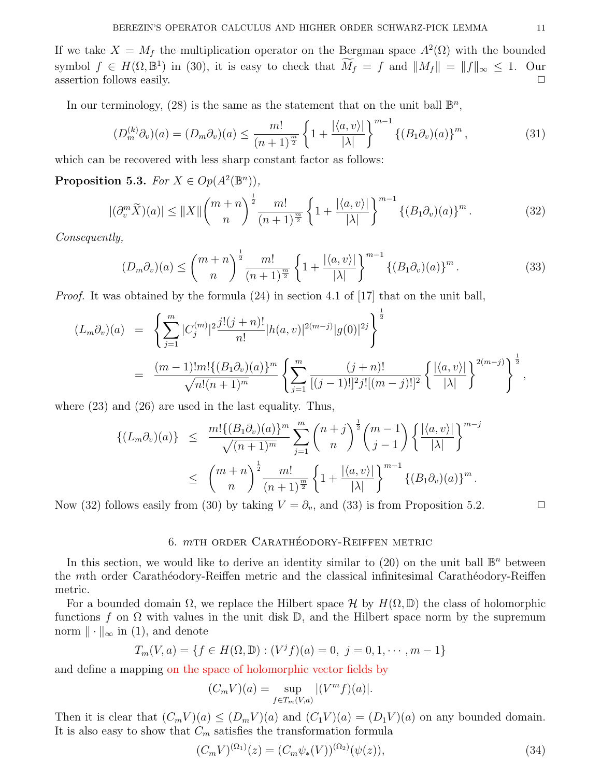If we take  $X = M_f$  the multiplication operator on the Bergman space  $A^2(\Omega)$  with the bounded symbol  $f \in H(\Omega, \mathbb{B}^1)$  in (30), it is easy to check that  $\widetilde{M}_f = f$  and  $||M_f|| = ||f||_{\infty} \leq 1$ . Our assertion follows easily.  $\Box$ 

In our terminology, (28) is the same as the statement that on the unit ball  $\mathbb{B}^n$ ,

$$
(D_m^{(k)}\partial_v)(a) = (D_m\partial_v)(a) \le \frac{m!}{(n+1)^{\frac{m}{2}}} \left\{ 1 + \frac{|\langle a, v \rangle|}{|\lambda|} \right\}^{m-1} \left\{ (B_1\partial_v)(a) \right\}^m, \tag{31}
$$

which can be recovered with less sharp constant factor as follows:

Proposition 5.3. For  $X \in Op(A^2(\mathbb{B}^n))$ ,

$$
|(\partial_v^m \widetilde{X})(a)| \le ||X|| \binom{m+n}{n}^{\frac{1}{2}} \frac{m!}{(n+1)^{\frac{m}{2}}} \left\{ 1 + \frac{|\langle a, v \rangle|}{|\lambda|} \right\}^{m-1} \left\{ (B_1 \partial_v)(a) \right\}^m. \tag{32}
$$

Consequently,

$$
(D_m\partial_v)(a) \le \binom{m+n}{n}^{\frac{1}{2}} \frac{m!}{(n+1)^{\frac{m}{2}}} \left\{ 1 + \frac{|\langle a, v \rangle|}{|\lambda|} \right\}^{m-1} \left\{ (B_1\partial_v)(a) \right\}^m. \tag{33}
$$

*Proof.* It was obtained by the formula  $(24)$  in section 4.1 of [17] that on the unit ball,

$$
(L_m \partial_v)(a) = \left\{ \sum_{j=1}^m |C_j^{(m)}|^2 \frac{j!(j+n)!}{n!} |h(a,v)|^{2(m-j)} |g(0)|^{2j} \right\}^{\frac{1}{2}}
$$
  

$$
= \frac{(m-1)!m! \{(B_1 \partial_v)(a)\}^m}{\sqrt{n!(n+1)^m}} \left\{ \sum_{j=1}^m \frac{(j+n)!}{[(j-1)!]^2 j! [(m-j)!]^2} \left\{ \frac{|\langle a,v \rangle|}{|\lambda|} \right\}^{2(m-j)} \right\}^{\frac{1}{2}},
$$

where  $(23)$  and  $(26)$  are used in the last equality. Thus,

$$
\{(L_m\partial_v)(a)\}\leq \frac{m!\{(B_1\partial_v)(a)\}^m}{\sqrt{(n+1)^m}}\sum_{j=1}^m \binom{n+j}{n}^{\frac{1}{2}}\binom{m-1}{j-1}\left\{\frac{|\langle a,v\rangle|}{|\lambda|}\right\}^{m-j}
$$

$$
\leq \binom{m+n}{n}^{\frac{1}{2}}\frac{m!}{(n+1)^{\frac{m}{2}}}\left\{1+\frac{|\langle a,v\rangle|}{|\lambda|}\right\}^{m-1}\{(B_1\partial_v)(a)\}^m.
$$

Now (32) follows easily from (30) by taking  $V = \partial_v$ , and (33) is from Proposition 5.2.

# 6.  $m$ th order Carathéodory-Reiffen metric

In this section, we would like to derive an identity similar to  $(20)$  on the unit ball  $\mathbb{B}^n$  between the mth order Carathéodory-Reiffen metric and the classical infinitesimal Carathéodory-Reiffen metric.

For a bounded domain  $\Omega$ , we replace the Hilbert space H by  $H(\Omega, \mathbb{D})$  the class of holomorphic functions f on  $\Omega$  with values in the unit disk D, and the Hilbert space norm by the supremum norm  $\|\cdot\|_{\infty}$  in (1), and denote

$$
T_m(V, a) = \{ f \in H(\Omega, \mathbb{D}) : (V^j f)(a) = 0, \ j = 0, 1, \cdots, m - 1 \}
$$

and define a mapping on the space of holomorphic vector fields by

$$
(C_m V)(a) = \sup_{f \in T_m(V,a)} |(V^m f)(a)|.
$$

Then it is clear that  $(C_m V)(a) \leq (D_m V)(a)$  and  $(C_1 V)(a) = (D_1 V)(a)$  on any bounded domain. It is also easy to show that  $C_m$  satisfies the transformation formula

$$
(C_m V)^{(\Omega_1)}(z) = (C_m \psi_*(V))^{(\Omega_2)}(\psi(z)),\tag{34}
$$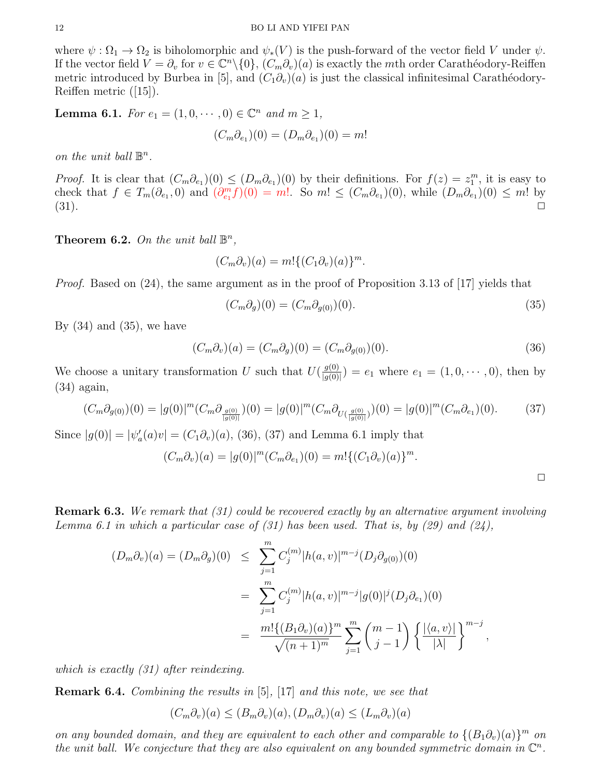where  $\psi : \Omega_1 \to \Omega_2$  is biholomorphic and  $\psi_*(V)$  is the push-forward of the vector field V under  $\psi$ . If the vector field  $V = \partial_v$  for  $v \in \mathbb{C}^n \setminus \{0\}$ ,  $(C_m \partial_v)(a)$  is exactly the mth order Carathéodory-Reiffen metric introduced by Burbea in [5], and  $(C_1\partial_v)(a)$  is just the classical infinitesimal Carathéodory-Reiffen metric ([15]).

**Lemma 6.1.** For  $e_1 = (1, 0, \dots, 0) \in \mathbb{C}^n$  and  $m \ge 1$ ,

$$
(C_m \partial_{e_1})(0) = (D_m \partial_{e_1})(0) = m!
$$

on the unit ball  $\mathbb{B}^n$ .

*Proof.* It is clear that  $(C_m \partial_{e_1})(0) \leq (D_m \partial_{e_1})(0)$  by their definitions. For  $f(z) = z_1^m$ , it is easy to check that  $f \in T_m(\partial_{e_1}, 0)$  and  $(\partial_{e_1}^m f)(0) = m!$ . So  $m! \leq (C_m \partial_{e_1})(0)$ , while  $(D_m \partial_{e_1})(0) \leq m!$  by  $(31).$ 

**Theorem 6.2.** On the unit ball  $\mathbb{B}^n$ ,

$$
(C_m \partial_v)(a) = m! \{ (C_1 \partial_v)(a) \}^m.
$$

*Proof.* Based on  $(24)$ , the same argument as in the proof of Proposition 3.13 of [17] yields that

$$
(C_m \partial_g)(0) = (C_m \partial_{g(0)})(0). \tag{35}
$$

By  $(34)$  and  $(35)$ , we have

$$
(C_m \partial_v)(a) = (C_m \partial_g)(0) = (C_m \partial_{g(0)})(0). \tag{36}
$$

We choose a unitary transformation U such that  $U(\frac{g(0)}{g(0)})$  $\frac{g(0)}{g(0)}$  =  $e_1$  where  $e_1 = (1, 0, \dots, 0)$ , then by (34) again,

$$
(C_m \partial_{g(0)})(0) = |g(0)|^m (C_m \partial_{g(0)}(0)) = |g(0)|^m (C_m \partial_{U(\frac{g(0)}{|g(0)|})})(0) = |g(0)|^m (C_m \partial_{e_1})(0). \tag{37}
$$

Since  $|g(0)| = |\psi_a'(a)v| = (C_1 \partial_v)(a)$ , (36), (37) and Lemma 6.1 imply that

$$
(C_m \partial_v)(a) = |g(0)|^m (C_m \partial_{e_1})(0) = m! \{ (C_1 \partial_v)(a) \}^m.
$$

**Remark 6.3.** We remark that (31) could be recovered exactly by an alternative argument involving Lemma 6.1 in which a particular case of  $(31)$  has been used. That is, by  $(29)$  and  $(24)$ ,

$$
(D_m \partial_v)(a) = (D_m \partial_g)(0) \leq \sum_{j=1}^m C_j^{(m)} |h(a, v)|^{m-j} (D_j \partial_{g(0)})(0)
$$
  
= 
$$
\sum_{j=1}^m C_j^{(m)} |h(a, v)|^{m-j} |g(0)|^j (D_j \partial_{e_1})(0)
$$
  
= 
$$
\frac{m! \{(B_1 \partial_v)(a)\}^m}{\sqrt{(n+1)^m}} \sum_{j=1}^m {m-1 \choose j-1} \{\frac{|\langle a, v \rangle|}{|\lambda|}\}^{m-j},
$$

which is exactly (31) after reindexing.

Remark 6.4. Combining the results in [5], [17] and this note, we see that

$$
(C_m \partial_v)(a) \le (B_m \partial_v)(a), (D_m \partial_v)(a) \le (L_m \partial_v)(a)
$$

on any bounded domain, and they are equivalent to each other and comparable to  $\{(B_1\partial_v)(a)\}^m$  on the unit ball. We conjecture that they are also equivalent on any bounded symmetric domain in  $\mathbb{C}^n$ .